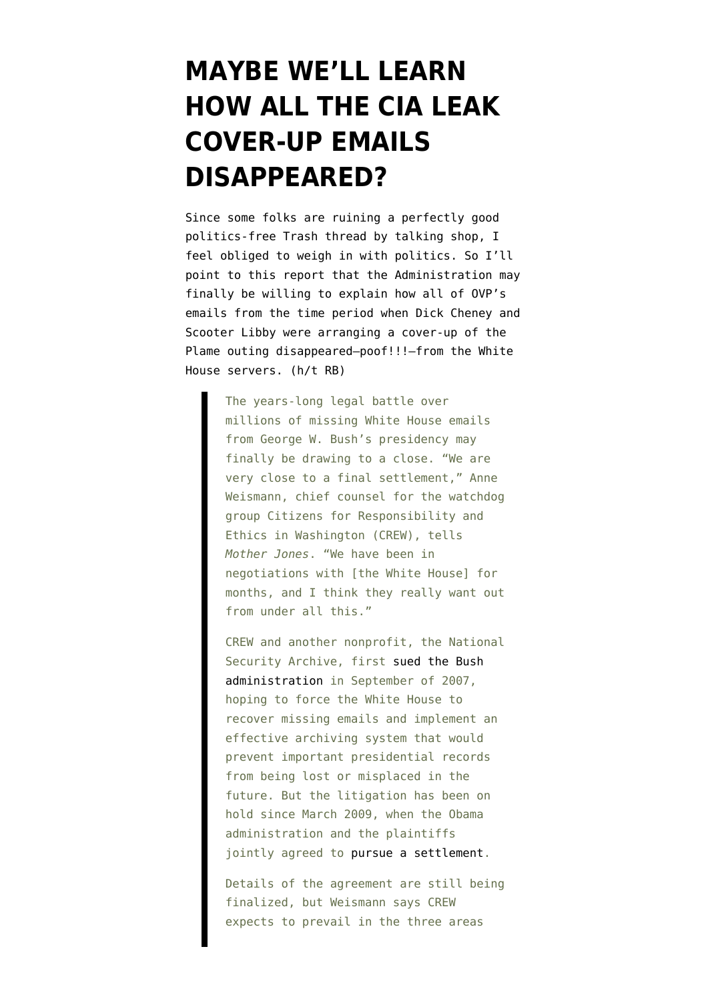## **[MAYBE WE'LL LEARN](https://www.emptywheel.net/2009/12/12/maybe-well-learn-how-all-the-cover-up-emails-disappeared/) [HOW ALL THE CIA LEAK](https://www.emptywheel.net/2009/12/12/maybe-well-learn-how-all-the-cover-up-emails-disappeared/) [COVER-UP EMAILS](https://www.emptywheel.net/2009/12/12/maybe-well-learn-how-all-the-cover-up-emails-disappeared/) [DISAPPEARED?](https://www.emptywheel.net/2009/12/12/maybe-well-learn-how-all-the-cover-up-emails-disappeared/)**

Since some folks are ruining a perfectly good [politics-free Trash thread](http://emptywheel.firedoglake.com/2009/12/12/trash-talk-patriots-have-a-strange-kind-of-mascot/#Respond) by talking shop, I feel obliged to weigh in with politics. So I'll point to [this report](http://motherjones.com/politics/2009/12/exclusive-white-house-emails-case-nearing-settlement) that the Administration may finally be willing to explain how all of OVP's emails from the time period when Dick Cheney and Scooter Libby were arranging a cover-up of the Plame outing disappeared–poof!!!–from the White House servers. (h/t RB)

> The years-long legal battle over millions of missing White House emails from George W. Bush's presidency may finally be drawing to a close. "We are very close to a final settlement," Anne Weismann, chief counsel for the watchdog group Citizens for Responsibility and Ethics in Washington (CREW), tells *Mother Jones*. "We have been in negotiations with [the White House] for months, and I think they really want out from under all this."

> CREW and another nonprofit, the National Security Archive, first [sued the Bush](http://motherjones.com/mojo/2007/04/re-those-missing-white-house-emails) [administration](http://motherjones.com/mojo/2007/04/re-those-missing-white-house-emails) in September of 2007, hoping to force the White House to recover missing emails and implement an effective archiving system that would prevent important presidential records from being lost or misplaced in the future. But the litigation has been on hold since March 2009, when the Obama administration and the plaintiffs jointly agreed to [pursue a settlement.](http://motherjones.com/mojo/2009/03/signs-obama-white-house-may-be-close-settling-missing-emails-case)

> Details of the agreement are still being finalized, but Weismann says CREW expects to prevail in the three areas